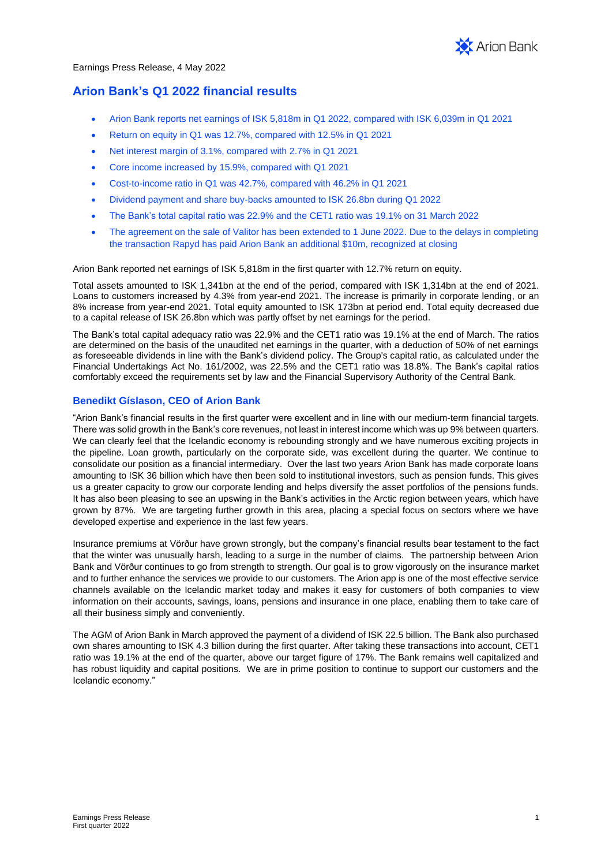

# **Arion Bank's Q1 2022 financial results**

- Arion Bank reports net earnings of ISK 5,818m in Q1 2022, compared with ISK 6,039m in Q1 2021
- Return on equity in Q1 was 12.7%, compared with 12.5% in Q1 2021
- Net interest margin of 3.1%, compared with 2.7% in Q1 2021
- Core income increased by 15.9%, compared with Q1 2021
- Cost-to-income ratio in Q1 was 42.7%, compared with 46.2% in Q1 2021
- Dividend payment and share buy-backs amounted to ISK 26.8bn during Q1 2022
- The Bank's total capital ratio was 22.9% and the CET1 ratio was 19.1% on 31 March 2022
- The agreement on the sale of Valitor has been extended to 1 June 2022. Due to the delays in completing the transaction Rapyd has paid Arion Bank an additional \$10m, recognized at closing

Arion Bank reported net earnings of ISK 5,818m in the first quarter with 12.7% return on equity.

Total assets amounted to ISK 1,341bn at the end of the period, compared with ISK 1,314bn at the end of 2021. Loans to customers increased by 4.3% from year-end 2021. The increase is primarily in corporate lending, or an 8% increase from year-end 2021. Total equity amounted to ISK 173bn at period end. Total equity decreased due to a capital release of ISK 26.8bn which was partly offset by net earnings for the period.

The Bank's total capital adequacy ratio was 22.9% and the CET1 ratio was 19.1% at the end of March. The ratios are determined on the basis of the unaudited net earnings in the quarter, with a deduction of 50% of net earnings as foreseeable dividends in line with the Bank's dividend policy. The Group's capital ratio, as calculated under the Financial Undertakings Act No. 161/2002, was 22.5% and the CET1 ratio was 18.8%. The Bank's capital ratios comfortably exceed the requirements set by law and the Financial Supervisory Authority of the Central Bank.

## **Benedikt Gíslason, CEO of Arion Bank**

"Arion Bank's financial results in the first quarter were excellent and in line with our medium-term financial targets. There was solid growth in the Bank's core revenues, not least in interest income which was up 9% between quarters. We can clearly feel that the Icelandic economy is rebounding strongly and we have numerous exciting projects in the pipeline. Loan growth, particularly on the corporate side, was excellent during the quarter. We continue to consolidate our position as a financial intermediary. Over the last two years Arion Bank has made corporate loans amounting to ISK 36 billion which have then been sold to institutional investors, such as pension funds. This gives us a greater capacity to grow our corporate lending and helps diversify the asset portfolios of the pensions funds. It has also been pleasing to see an upswing in the Bank's activities in the Arctic region between years, which have grown by 87%. We are targeting further growth in this area, placing a special focus on sectors where we have developed expertise and experience in the last few years.

Insurance premiums at Vörður have grown strongly, but the company's financial results bear testament to the fact that the winter was unusually harsh, leading to a surge in the number of claims. The partnership between Arion Bank and Vörður continues to go from strength to strength. Our goal is to grow vigorously on the insurance market and to further enhance the services we provide to our customers. The Arion app is one of the most effective service channels available on the Icelandic market today and makes it easy for customers of both companies to view information on their accounts, savings, loans, pensions and insurance in one place, enabling them to take care of all their business simply and conveniently.

The AGM of Arion Bank in March approved the payment of a dividend of ISK 22.5 billion. The Bank also purchased own shares amounting to ISK 4.3 billion during the first quarter. After taking these transactions into account, CET1 ratio was 19.1% at the end of the quarter, above our target figure of 17%. The Bank remains well capitalized and has robust liquidity and capital positions. We are in prime position to continue to support our customers and the Icelandic economy."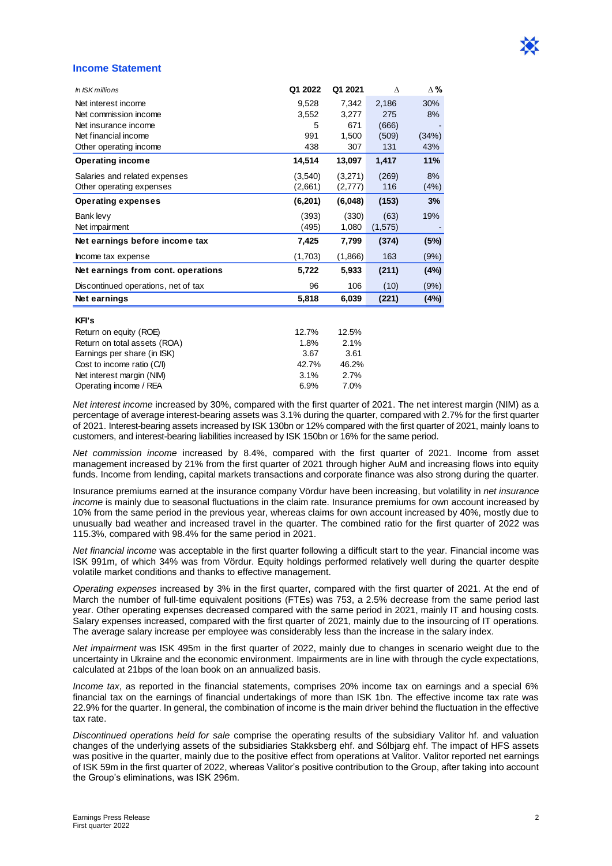### **Income Statement**

| In ISK millions                     | Q1 2022  | Q1 2021  | Λ        | Δ%    |
|-------------------------------------|----------|----------|----------|-------|
| Net interest income                 | 9,528    | 7.342    | 2,186    | 30%   |
| Net commission income               | 3,552    | 3,277    | 275      | 8%    |
| Net insurance income                | 5        | 671      | (666)    |       |
| Net financial income                | 991      | 1,500    | (509)    | (34%) |
| Other operating income              | 438      | 307      | 131      | 43%   |
| <b>Operating income</b>             | 14,514   | 13,097   | 1,417    | 11%   |
| Salaries and related expenses       | (3,540)  | (3,271)  | (269)    | 8%    |
| Other operating expenses            | (2,661)  | (2, 777) | 116      | (4%)  |
| <b>Operating expenses</b>           | (6, 201) | (6,048)  | (153)    | 3%    |
| Bank levy                           | (393)    | (330)    | (63)     | 19%   |
| Net impairment                      | (495)    | 1,080    | (1, 575) |       |
| Net earnings before income tax      | 7,425    | 7,799    | (374)    | (5%)  |
| Income tax expense                  | (1,703)  | (1,866)  | 163      | (9%)  |
| Net earnings from cont. operations  | 5,722    | 5,933    | (211)    | (4%)  |
| Discontinued operations, net of tax | 96       | 106      | (10)     | (9%)  |
| Net earnings                        | 5,818    | 6,039    | (221)    | (4%)  |
| <b>KFI's</b>                        |          |          |          |       |
| Return on equity (ROE)              | 12.7%    | 12.5%    |          |       |
| Return on total assets (ROA)        | 1.8%     | 2.1%     |          |       |
| Earnings per share (in ISK)         | 3.67     | 3.61     |          |       |
| Cost to income ratio (C/I)          | 42.7%    | 46.2%    |          |       |
| Net interest margin (NIM)           | 3.1%     | 2.7%     |          |       |
| Operating income / REA              | 6.9%     | 7.0%     |          |       |

*Net interest income* increased by 30%, compared with the first quarter of 2021. The net interest margin (NIM) as a percentage of average interest-bearing assets was 3.1% during the quarter, compared with 2.7% for the first quarter of 2021. Interest-bearing assets increased by ISK 130bn or 12% compared with the first quarter of 2021, mainly loans to customers, and interest-bearing liabilities increased by ISK 150bn or 16% for the same period.

*Net commission income* increased by 8.4%, compared with the first quarter of 2021. Income from asset management increased by 21% from the first quarter of 2021 through higher AuM and increasing flows into equity funds. Income from lending, capital markets transactions and corporate finance was also strong during the quarter.

Insurance premiums earned at the insurance company Vördur have been increasing, but volatility in *net insurance income* is mainly due to seasonal fluctuations in the claim rate. Insurance premiums for own account increased by 10% from the same period in the previous year, whereas claims for own account increased by 40%, mostly due to unusually bad weather and increased travel in the quarter. The combined ratio for the first quarter of 2022 was 115.3%, compared with 98.4% for the same period in 2021.

*Net financial income* was acceptable in the first quarter following a difficult start to the year. Financial income was ISK 991m, of which 34% was from Vördur. Equity holdings performed relatively well during the quarter despite volatile market conditions and thanks to effective management.

*Operating expenses* increased by 3% in the first quarter, compared with the first quarter of 2021. At the end of March the number of full-time equivalent positions (FTEs) was 753, a 2.5% decrease from the same period last year. Other operating expenses decreased compared with the same period in 2021, mainly IT and housing costs. Salary expenses increased, compared with the first quarter of 2021, mainly due to the insourcing of IT operations. The average salary increase per employee was considerably less than the increase in the salary index.

*Net impairment* was ISK 495m in the first quarter of 2022, mainly due to changes in scenario weight due to the uncertainty in Ukraine and the economic environment. Impairments are in line with through the cycle expectations, calculated at 21bps of the loan book on an annualized basis.

*Income tax*, as reported in the financial statements, comprises 20% income tax on earnings and a special 6% financial tax on the earnings of financial undertakings of more than ISK 1bn. The effective income tax rate was 22.9% for the quarter. In general, the combination of income is the main driver behind the fluctuation in the effective tax rate.

*Discontinued operations held for sale* comprise the operating results of the subsidiary Valitor hf. and valuation changes of the underlying assets of the subsidiaries Stakksberg ehf. and Sólbjarg ehf. The impact of HFS assets was positive in the quarter, mainly due to the positive effect from operations at Valitor. Valitor reported net earnings of ISK 59m in the first quarter of 2022, whereas Valitor's positive contribution to the Group, after taking into account the Group's eliminations, was ISK 296m.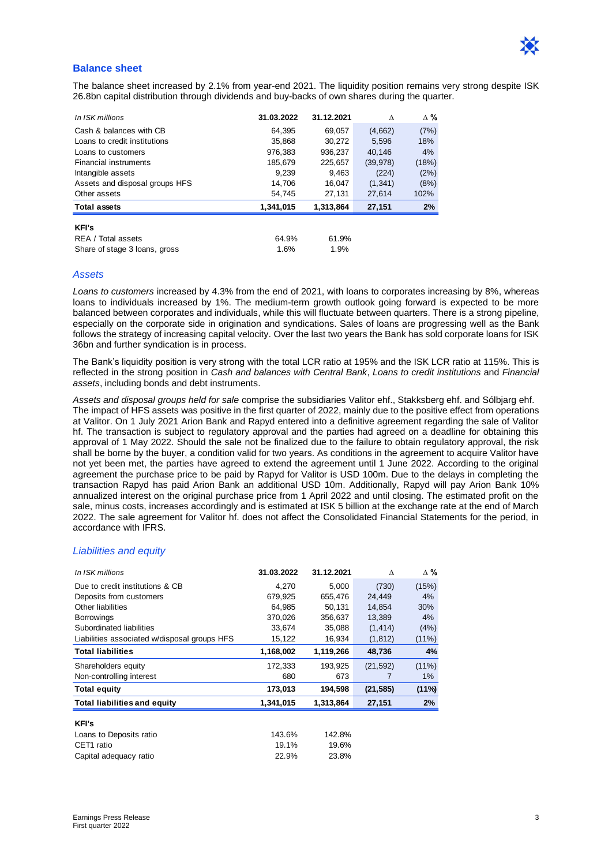

### **Balance sheet**

The balance sheet increased by 2.1% from year-end 2021. The liquidity position remains very strong despite ISK 26.8bn capital distribution through dividends and buy-backs of own shares during the quarter.

| In ISK millions                | 31.03.2022 | 31.12.2021 | Λ         | $\Delta$ % |
|--------------------------------|------------|------------|-----------|------------|
| Cash & balances with CB        | 64.395     | 69,057     | (4,662)   | (7%)       |
| Loans to credit institutions   | 35.868     | 30.272     | 5.596     | 18%        |
| Loans to customers             | 976.383    | 936.237    | 40.146    | 4%         |
| <b>Financial instruments</b>   | 185,679    | 225,657    | (39, 978) | (18%)      |
| Intangible assets              | 9.239      | 9.463      | (224)     | (2%)       |
| Assets and disposal groups HFS | 14.706     | 16.047     | (1, 341)  | (8%)       |
| Other assets                   | 54,745     | 27,131     | 27,614    | 102%       |
| <b>Total assets</b>            | 1.341.015  | 1.313.864  | 27,151    | 2%         |
| <b>KFI's</b>                   |            |            |           |            |
| REA / Total assets             | 64.9%      | 61.9%      |           |            |
| Share of stage 3 loans, gross  | 1.6%       | 1.9%       |           |            |

#### *Assets*

*Loans to customers* increased by 4.3% from the end of 2021, with loans to corporates increasing by 8%, whereas loans to individuals increased by 1%. The medium-term growth outlook going forward is expected to be more balanced between corporates and individuals, while this will fluctuate between quarters. There is a strong pipeline, especially on the corporate side in origination and syndications. Sales of loans are progressing well as the Bank follows the strategy of increasing capital velocity. Over the last two years the Bank has sold corporate loans for ISK 36bn and further syndication is in process.

The Bank's liquidity position is very strong with the total LCR ratio at 195% and the ISK LCR ratio at 115%. This is reflected in the strong position in *Cash and balances with Central Bank*, *Loans to credit institutions* and *Financial assets*, including bonds and debt instruments.

*Assets and disposal groups held for sale* comprise the subsidiaries Valitor ehf., Stakksberg ehf. and Sólbjarg ehf. The impact of HFS assets was positive in the first quarter of 2022, mainly due to the positive effect from operations at Valitor. On 1 July 2021 Arion Bank and Rapyd entered into a definitive agreement regarding the sale of Valitor hf. The transaction is subject to regulatory approval and the parties had agreed on a deadline for obtaining this approval of 1 May 2022. Should the sale not be finalized due to the failure to obtain regulatory approval, the risk shall be borne by the buyer, a condition valid for two years. As conditions in the agreement to acquire Valitor have not yet been met, the parties have agreed to extend the agreement until 1 June 2022. According to the original agreement the purchase price to be paid by Rapyd for Valitor is USD 100m. Due to the delays in completing the transaction Rapyd has paid Arion Bank an additional USD 10m. Additionally, Rapyd will pay Arion Bank 10% annualized interest on the original purchase price from 1 April 2022 and until closing. The estimated profit on the sale, minus costs, increases accordingly and is estimated at ISK 5 billion at the exchange rate at the end of March 2022. The sale agreement for Valitor hf. does not affect the Consolidated Financial Statements for the period, in accordance with IFRS.

#### *Liabilities and equity*

| In ISK millions                              | 31.03.2022 | 31.12.2021 | Λ         | Δ%       |
|----------------------------------------------|------------|------------|-----------|----------|
| Due to credit institutions & CB              | 4.270      | 5,000      | (730)     | (15%)    |
| Deposits from customers                      | 679.925    | 655.476    | 24.449    | 4%       |
| Other liabilities                            | 64,985     | 50,131     | 14.854    | 30%      |
| <b>Borrowings</b>                            | 370,026    | 356,637    | 13,389    | 4%       |
| Subordinated liabilities                     | 33,674     | 35,088     | (1, 414)  | (4%)     |
| Liabilities associated w/disposal groups HFS | 15,122     | 16,934     | (1, 812)  | (11%)    |
| <b>Total liabilities</b>                     | 1,168,002  | 1,119,266  | 48,736    | 4%       |
| Shareholders equity                          | 172,333    | 193,925    | (21, 592) | $(11\%)$ |
| Non-controlling interest                     | 680        | 673        |           | 1%       |
| <b>Total equity</b>                          | 173,013    | 194,598    | (21, 585) | (11%)    |
| <b>Total liabilities and equity</b>          | 1,341,015  | 1,313,864  | 27,151    | 2%       |
| <b>KFI's</b>                                 |            |            |           |          |
| Loans to Deposits ratio                      | 143.6%     | 142.8%     |           |          |
| CET1 ratio                                   | 19.1%      | 19.6%      |           |          |
| Capital adequacy ratio                       | 22.9%      | 23.8%      |           |          |